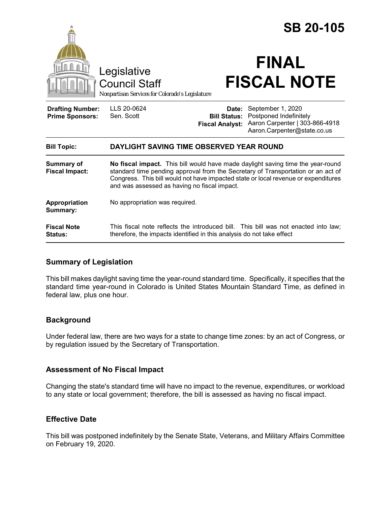|                                                   | Legislative<br><b>Council Staff</b><br>Nonpartisan Services for Colorado's Legislature                                                                                                                                                                                                                    |                                                        | <b>SB 20-105</b><br><b>FINAL</b><br><b>FISCAL NOTE</b>                                                       |
|---------------------------------------------------|-----------------------------------------------------------------------------------------------------------------------------------------------------------------------------------------------------------------------------------------------------------------------------------------------------------|--------------------------------------------------------|--------------------------------------------------------------------------------------------------------------|
| <b>Drafting Number:</b><br><b>Prime Sponsors:</b> | LLS 20-0624<br>Sen. Scott                                                                                                                                                                                                                                                                                 | Date:<br><b>Bill Status:</b><br><b>Fiscal Analyst:</b> | September 1, 2020<br>Postponed Indefinitely<br>Aaron Carpenter   303-866-4918<br>Aaron.Carpenter@state.co.us |
| <b>Bill Topic:</b>                                | DAYLIGHT SAVING TIME OBSERVED YEAR ROUND                                                                                                                                                                                                                                                                  |                                                        |                                                                                                              |
| Summary of<br><b>Fiscal Impact:</b>               | No fiscal impact. This bill would have made daylight saving time the year-round<br>standard time pending approval from the Secretary of Transportation or an act of<br>Congress. This bill would not have impacted state or local revenue or expenditures<br>and was assessed as having no fiscal impact. |                                                        |                                                                                                              |
| Appropriation<br>Summary:                         | No appropriation was required.                                                                                                                                                                                                                                                                            |                                                        |                                                                                                              |
| <b>Fiscal Note</b><br><b>Status:</b>              | therefore, the impacts identified in this analysis do not take effect                                                                                                                                                                                                                                     |                                                        | This fiscal note reflects the introduced bill. This bill was not enacted into law;                           |
|                                                   |                                                                                                                                                                                                                                                                                                           |                                                        |                                                                                                              |

# **Summary of Legislation**

This bill makes daylight saving time the year-round standard time. Specifically, it specifies that the standard time year-round in Colorado is United States Mountain Standard Time, as defined in federal law, plus one hour.

# **Background**

Under federal law, there are two ways for a state to change time zones: by an act of Congress, or by regulation issued by the Secretary of Transportation.

# **Assessment of No Fiscal Impact**

Changing the state's standard time will have no impact to the revenue, expenditures, or workload to any state or local government; therefore, the bill is assessed as having no fiscal impact.

# **Effective Date**

This bill was postponed indefinitely by the Senate State, Veterans, and Military Affairs Committee on February 19, 2020.